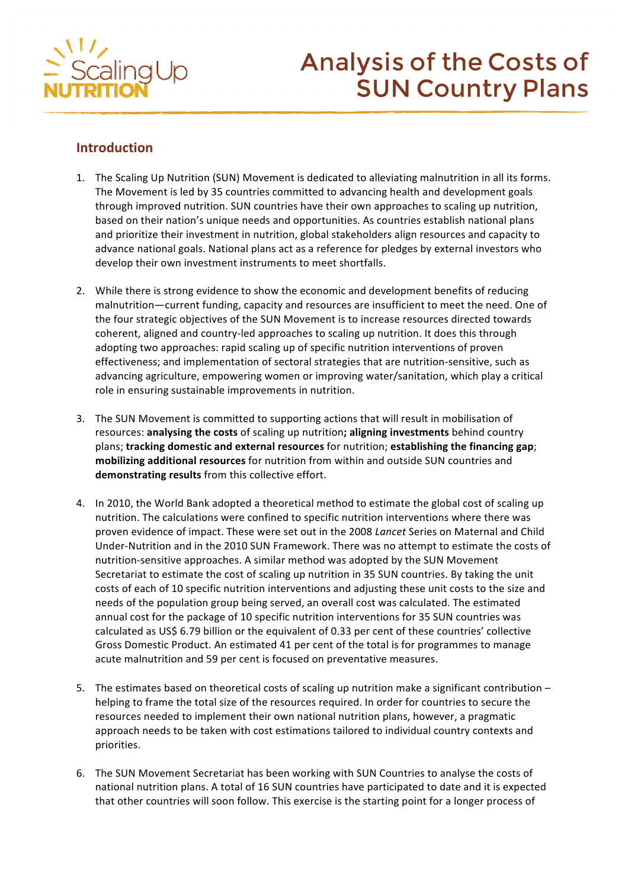

# **Analysis of the Costs of SUN Country Plans**

# **Introduction**

- 1. The Scaling Up Nutrition (SUN) Movement is dedicated to alleviating malnutrition in all its forms. The Movement is led by 35 countries committed to advancing health and development goals through improved nutrition. SUN countries have their own approaches to scaling up nutrition, based on their nation's unique needs and opportunities. As countries establish national plans and prioritize their investment in nutrition, global stakeholders align resources and capacity to advance national goals. National plans act as a reference for pledges by external investors who develop their own investment instruments to meet shortfalls.
- 2. While there is strong evidence to show the economic and development benefits of reducing malnutrition—current funding, capacity and resources are insufficient to meet the need. One of the four strategic objectives of the SUN Movement is to increase resources directed towards coherent, aligned and country-led approaches to scaling up nutrition. It does this through adopting two approaches: rapid scaling up of specific nutrition interventions of proven effectiveness; and implementation of sectoral strategies that are nutrition-sensitive, such as advancing agriculture, empowering women or improving water/sanitation, which play a critical role in ensuring sustainable improvements in nutrition.
- 3. The SUN Movement is committed to supporting actions that will result in mobilisation of resources: **analysing the costs** of scaling up nutrition; aligning investments behind country plans; tracking domestic and external resources for nutrition; establishing the financing gap; mobilizing additional resources for nutrition from within and outside SUN countries and **demonstrating results** from this collective effort.
- 4. In 2010, the World Bank adopted a theoretical method to estimate the global cost of scaling up nutrition. The calculations were confined to specific nutrition interventions where there was proven evidence of impact. These were set out in the 2008 *Lancet* Series on Maternal and Child Under-Nutrition and in the 2010 SUN Framework. There was no attempt to estimate the costs of nutrition-sensitive approaches. A similar method was adopted by the SUN Movement Secretariat to estimate the cost of scaling up nutrition in 35 SUN countries. By taking the unit costs of each of 10 specific nutrition interventions and adjusting these unit costs to the size and needs of the population group being served, an overall cost was calculated. The estimated annual cost for the package of 10 specific nutrition interventions for 35 SUN countries was calculated as US\$ 6.79 billion or the equivalent of 0.33 per cent of these countries' collective Gross Domestic Product. An estimated 41 per cent of the total is for programmes to manage acute malnutrition and 59 per cent is focused on preventative measures.
- 5. The estimates based on theoretical costs of scaling up nutrition make a significant contribution  $$ helping to frame the total size of the resources required. In order for countries to secure the resources needed to implement their own national nutrition plans, however, a pragmatic approach needs to be taken with cost estimations tailored to individual country contexts and priorities.
- 6. The SUN Movement Secretariat has been working with SUN Countries to analyse the costs of national nutrition plans. A total of 16 SUN countries have participated to date and it is expected that other countries will soon follow. This exercise is the starting point for a longer process of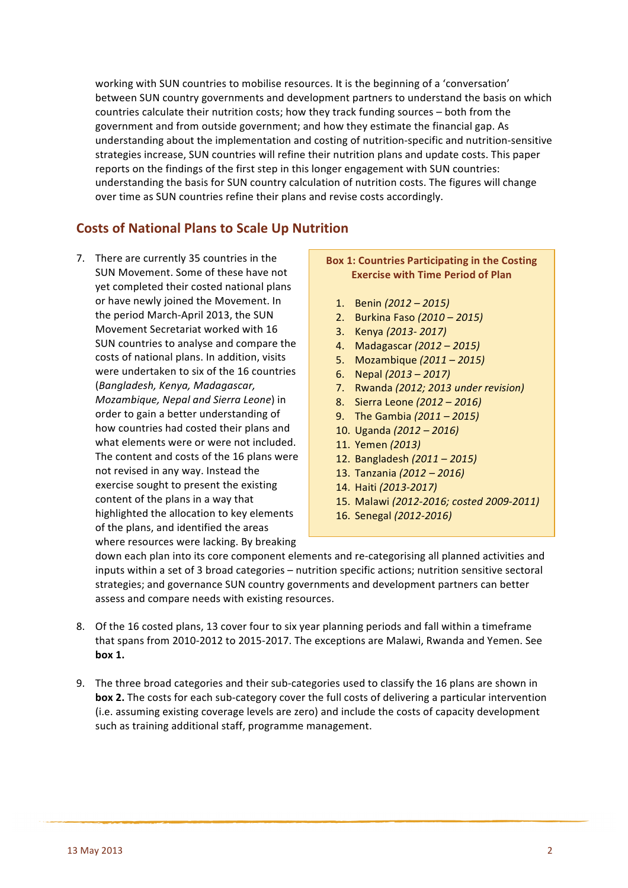working with SUN countries to mobilise resources. It is the beginning of a 'conversation' between SUN country governments and development partners to understand the basis on which countries calculate their nutrition costs; how they track funding sources - both from the government and from outside government; and how they estimate the financial gap. As understanding about the implementation and costing of nutrition-specific and nutrition-sensitive strategies increase, SUN countries will refine their nutrition plans and update costs. This paper reports on the findings of the first step in this longer engagement with SUN countries: understanding the basis for SUN country calculation of nutrition costs. The figures will change over time as SUN countries refine their plans and revise costs accordingly.

# **Costs of National Plans to Scale Up Nutrition**

7. There are currently 35 countries in the SUN Movement. Some of these have not vet completed their costed national plans or have newly joined the Movement. In the period March-April 2013, the SUN Movement Secretariat worked with 16 SUN countries to analyse and compare the costs of national plans. In addition, visits were undertaken to six of the 16 countries (*Bangladesh, Kenya, Madagascar, Mozambique, Nepal and Sierra Leone*) in order to gain a better understanding of how countries had costed their plans and what elements were or were not included. The content and costs of the 16 plans were not revised in any way. Instead the exercise sought to present the existing content of the plans in a way that highlighted the allocation to key elements of the plans, and identified the areas where resources were lacking. By breaking

## **Box 1: Countries Participating in the Costing Exercise with Time Period of Plan**

- 1. Benin *(2012 – 2015)*
- 2. Burkina Faso *(2010 – 2015)*
- 3. Kenya *(2013- 2017)*
- 4. Madagascar *(2012 – 2015)*
- 5. Mozambique *(2011 – 2015)*
- 6. Nepal *(2013 – 2017)*
- 7. Rwanda (2012; 2013 under revision)
- 8. Sierra Leone *(2012 – 2016)*
- 9. The Gambia  $(2011 2015)$
- 10. Uganda *(2012 – 2016)*
- 11. Yemen *(2013)*
- 12. Bangladesh *(2011 – 2015)*
- 13. Tanzania *(2012 – 2016)*
- 14. Haiti *(2013-2017)*
- 15. Malawi (2012-2016; costed 2009-2011)
- 16. Senegal *(2012-2016)*

down each plan into its core component elements and re-categorising all planned activities and inputs within a set of 3 broad categories - nutrition specific actions; nutrition sensitive sectoral strategies; and governance SUN country governments and development partners can better assess and compare needs with existing resources.

- 8. Of the 16 costed plans, 13 cover four to six year planning periods and fall within a timeframe that spans from 2010-2012 to 2015-2017. The exceptions are Malawi, Rwanda and Yemen. See **box 1.**
- 9. The three broad categories and their sub-categories used to classify the 16 plans are shown in **box 2.** The costs for each sub-category cover the full costs of delivering a particular intervention (i.e. assuming existing coverage levels are zero) and include the costs of capacity development such as training additional staff, programme management.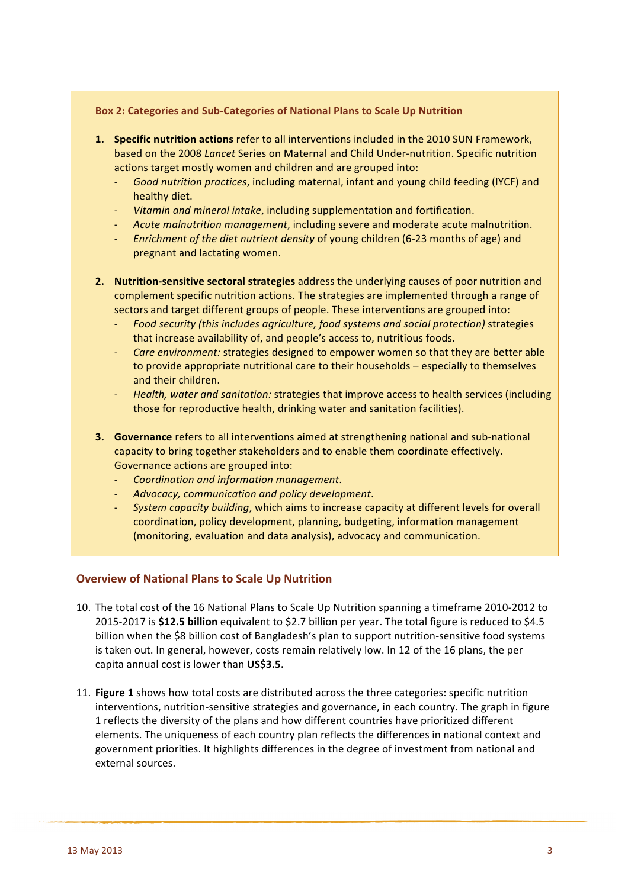#### Box 2: Categories and Sub-Categories of National Plans to Scale Up Nutrition

- **1. Specific nutrition actions** refer to all interventions included in the 2010 SUN Framework, based on the 2008 *Lancet* Series on Maternal and Child Under-nutrition. Specific nutrition actions target mostly women and children and are grouped into:
	- Good nutrition practices, including maternal, infant and young child feeding (IYCF) and healthy diet.
	- *Vitamin and mineral intake*, including supplementation and fortification.
	- Acute malnutrition management, including severe and moderate acute malnutrition.
	- *Enrichment of the diet nutrient density* of young children (6-23 months of age) and pregnant and lactating women.
- **2.** Nutrition-sensitive sectoral strategies address the underlying causes of poor nutrition and complement specific nutrition actions. The strategies are implemented through a range of sectors and target different groups of people. These interventions are grouped into:
	- *Food security (this includes agriculture, food systems and social protection)* strategies that increase availability of, and people's access to, nutritious foods.
	- *Care environment:* strategies designed to empower women so that they are better able to provide appropriate nutritional care to their households – especially to themselves and their children.
	- Health, water and sanitation: strategies that improve access to health services (including those for reproductive health, drinking water and sanitation facilities).
- **3.** Governance refers to all interventions aimed at strengthening national and sub-national capacity to bring together stakeholders and to enable them coordinate effectively. Governance actions are grouped into:
	- *Coordination and information management*.
	- Advocacy, communication and policy development.
	- *System capacity building*, which aims to increase capacity at different levels for overall coordination, policy development, planning, budgeting, information management (monitoring, evaluation and data analysis), advocacy and communication.

#### **Overview of National Plans to Scale Up Nutrition**

- 10. The total cost of the 16 National Plans to Scale Up Nutrition spanning a timeframe 2010-2012 to 2015-2017 is \$12.5 **billion** equivalent to \$2.7 billion per year. The total figure is reduced to \$4.5 billion when the \$8 billion cost of Bangladesh's plan to support nutrition-sensitive food systems is taken out. In general, however, costs remain relatively low. In 12 of the 16 plans, the per capita annual cost is lower than **US\$3.5.**
- 11. **Figure 1** shows how total costs are distributed across the three categories: specific nutrition interventions, nutrition-sensitive strategies and governance, in each country. The graph in figure 1 reflects the diversity of the plans and how different countries have prioritized different elements. The uniqueness of each country plan reflects the differences in national context and government priorities. It highlights differences in the degree of investment from national and external sources.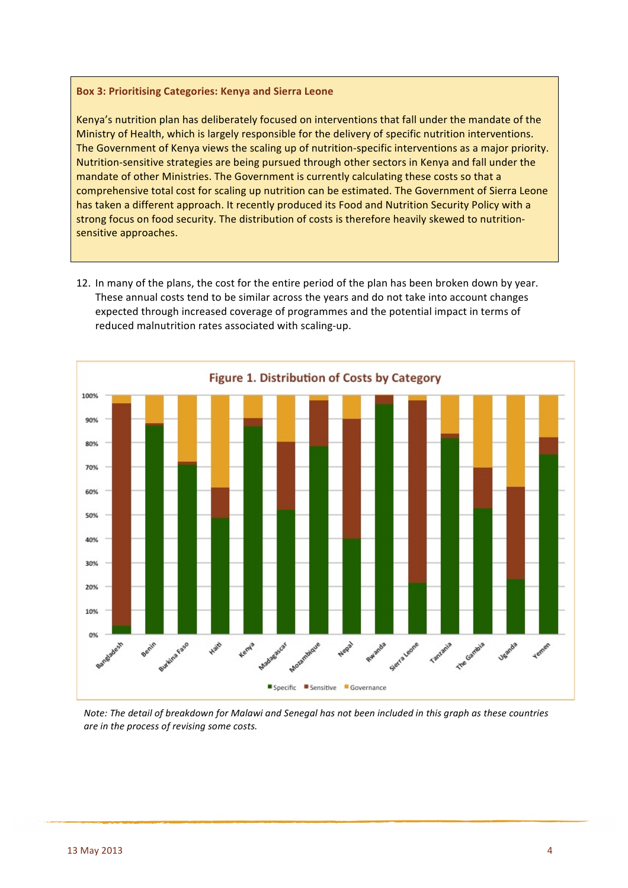#### **Box 3: Prioritising Categories: Kenya and Sierra Leone**

Kenya's nutrition plan has deliberately focused on interventions that fall under the mandate of the Ministry of Health, which is largely responsible for the delivery of specific nutrition interventions. The Government of Kenya views the scaling up of nutrition-specific interventions as a major priority. Nutrition-sensitive strategies are being pursued through other sectors in Kenya and fall under the mandate of other Ministries. The Government is currently calculating these costs so that a comprehensive total cost for scaling up nutrition can be estimated. The Government of Sierra Leone has taken a different approach. It recently produced its Food and Nutrition Security Policy with a strong focus on food security. The distribution of costs is therefore heavily skewed to nutritionsensitive approaches.

12. In many of the plans, the cost for the entire period of the plan has been broken down by year. These annual costs tend to be similar across the years and do not take into account changes expected through increased coverage of programmes and the potential impact in terms of reduced malnutrition rates associated with scaling-up.



*Note:* The detail of breakdown for Malawi and Senegal has not been included in this graph as these countries *are in the process of revising some costs.*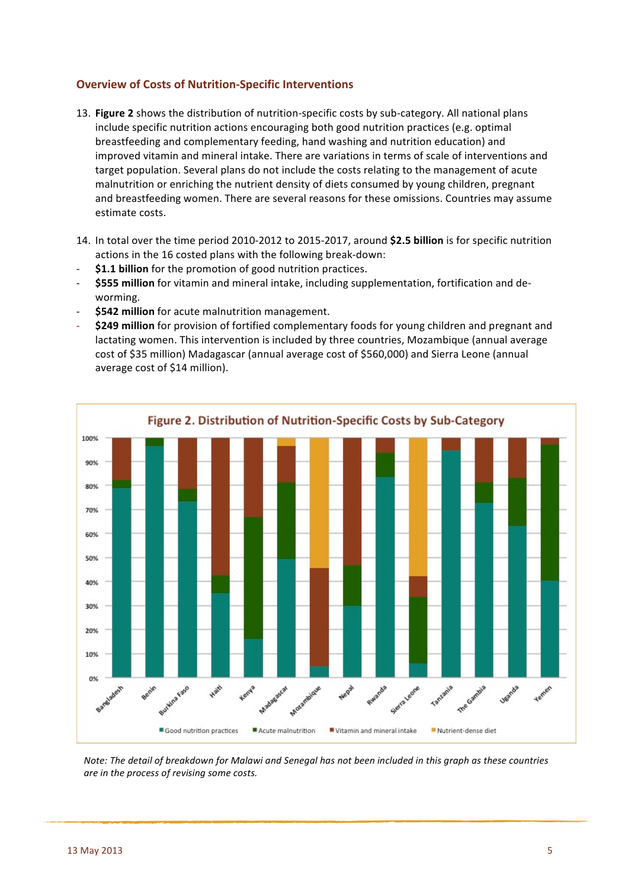## **Overview of Costs of Nutrition-Specific Interventions**

- 13. Figure 2 shows the distribution of nutrition-specific costs by sub-category. All national plans include specific nutrition actions encouraging both good nutrition practices (e.g. optimal breastfeeding and complementary feeding, hand washing and nutrition education) and improved vitamin and mineral intake. There are variations in terms of scale of interventions and target population. Several plans do not include the costs relating to the management of acute malnutrition or enriching the nutrient density of diets consumed by young children, pregnant and breastfeeding women. There are several reasons for these omissions. Countries may assume estimate costs.
- 14. In total over the time period 2010-2012 to 2015-2017, around \$2.5 billion is for specific nutrition actions in the 16 costed plans with the following break-down:
- \$1.1 **billion** for the promotion of good nutrition practices.
- \$555 million for vitamin and mineral intake, including supplementation, fortification and deworming.
- **\$542 million** for acute malnutrition management.
- \$249 million for provision of fortified complementary foods for young children and pregnant and lactating women. This intervention is included by three countries, Mozambique (annual average cost of \$35 million) Madagascar (annual average cost of \$560,000) and Sierra Leone (annual average cost of \$14 million).



*Note:* The detail of breakdown for Malawi and Senegal has not been included in this graph as these countries *are in the process of revising some costs.*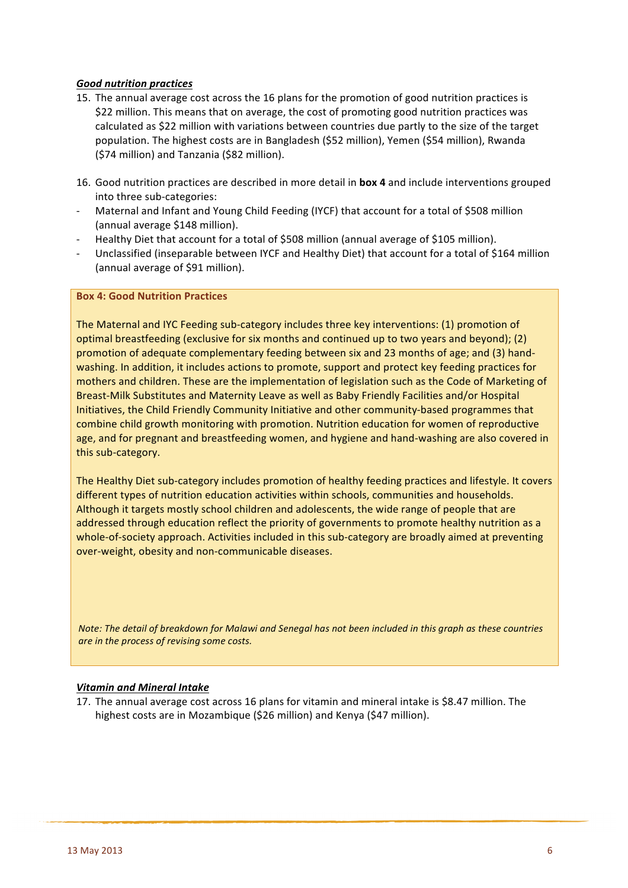#### *Good nutrition practices*

- 15. The annual average cost across the 16 plans for the promotion of good nutrition practices is \$22 million. This means that on average, the cost of promoting good nutrition practices was calculated as \$22 million with variations between countries due partly to the size of the target population. The highest costs are in Bangladesh (\$52 million), Yemen (\$54 million), Rwanda (\$74 million) and Tanzania (\$82 million).
- 16. Good nutrition practices are described in more detail in **box 4** and include interventions grouped into three sub-categories:
- Maternal and Infant and Young Child Feeding (IYCF) that account for a total of \$508 million (annual average \$148 million).
- Healthy Diet that account for a total of \$508 million (annual average of \$105 million).
- Unclassified (inseparable between IYCF and Healthy Diet) that account for a total of \$164 million (annual average of \$91 million).

#### **Box 4: Good Nutrition Practices**

The Maternal and IYC Feeding sub-category includes three key interventions: (1) promotion of optimal breastfeeding (exclusive for six months and continued up to two years and beyond); (2) promotion of adequate complementary feeding between six and 23 months of age; and (3) handwashing. In addition, it includes actions to promote, support and protect key feeding practices for mothers and children. These are the implementation of legislation such as the Code of Marketing of Breast-Milk Substitutes and Maternity Leave as well as Baby Friendly Facilities and/or Hospital Initiatives, the Child Friendly Community Initiative and other community-based programmes that combine child growth monitoring with promotion. Nutrition education for women of reproductive age, and for pregnant and breastfeeding women, and hygiene and hand-washing are also covered in this sub-category.

The Healthy Diet sub-category includes promotion of healthy feeding practices and lifestyle. It covers different types of nutrition education activities within schools, communities and households. Although it targets mostly school children and adolescents, the wide range of people that are addressed through education reflect the priority of governments to promote healthy nutrition as a whole-of-society approach. Activities included in this sub-category are broadly aimed at preventing over-weight, obesity and non-communicable diseases.

*Note:* The detail of breakdown for Malawi and Senegal has not been included in this graph as these countries *are in the process of revising some costs.* 

#### *Vitamin and Mineral Intake*

17. The annual average cost across 16 plans for vitamin and mineral intake is \$8.47 million. The highest costs are in Mozambique (\$26 million) and Kenya (\$47 million).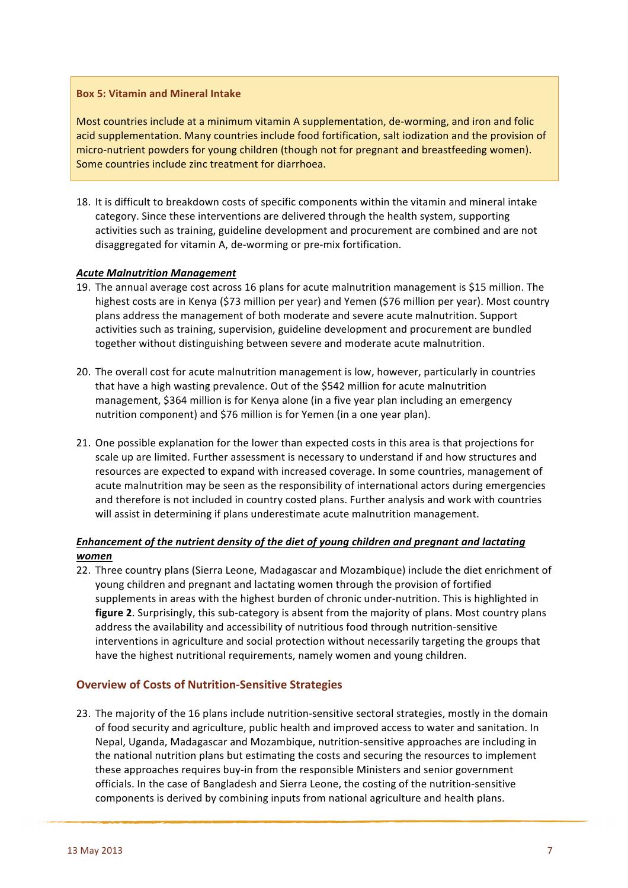#### **Box 5: Vitamin and Mineral Intake**

Most countries include at a minimum vitamin A supplementation, de-worming, and iron and folic acid supplementation. Many countries include food fortification, salt iodization and the provision of micro-nutrient powders for young children (though not for pregnant and breastfeeding women). Some countries include zinc treatment for diarrhoea.

18. It is difficult to breakdown costs of specific components within the vitamin and mineral intake category. Since these interventions are delivered through the health system, supporting activities such as training, guideline development and procurement are combined and are not disaggregated for vitamin A, de-worming or pre-mix fortification.

#### *Acute Malnutrition Management*

- 19. The annual average cost across 16 plans for acute malnutrition management is \$15 million. The highest costs are in Kenya (\$73 million per year) and Yemen (\$76 million per year). Most country plans address the management of both moderate and severe acute malnutrition. Support activities such as training, supervision, guideline development and procurement are bundled together without distinguishing between severe and moderate acute malnutrition.
- 20. The overall cost for acute malnutrition management is low, however, particularly in countries that have a high wasting prevalence. Out of the \$542 million for acute malnutrition management, \$364 million is for Kenya alone (in a five year plan including an emergency nutrition component) and \$76 million is for Yemen (in a one year plan).
- 21. One possible explanation for the lower than expected costs in this area is that projections for scale up are limited. Further assessment is necessary to understand if and how structures and resources are expected to expand with increased coverage. In some countries, management of acute malnutrition may be seen as the responsibility of international actors during emergencies and therefore is not included in country costed plans. Further analysis and work with countries will assist in determining if plans underestimate acute malnutrition management.

## *Enhancement of the nutrient density of the diet of young children and pregnant and lactating women*

22. Three country plans (Sierra Leone, Madagascar and Mozambique) include the diet enrichment of young children and pregnant and lactating women through the provision of fortified supplements in areas with the highest burden of chronic under-nutrition. This is highlighted in **figure 2.** Surprisingly, this sub-category is absent from the majority of plans. Most country plans address the availability and accessibility of nutritious food through nutrition-sensitive interventions in agriculture and social protection without necessarily targeting the groups that have the highest nutritional requirements, namely women and young children.

#### **Overview of Costs of Nutrition-Sensitive Strategies**

23. The majority of the 16 plans include nutrition-sensitive sectoral strategies, mostly in the domain of food security and agriculture, public health and improved access to water and sanitation. In Nepal, Uganda, Madagascar and Mozambique, nutrition-sensitive approaches are including in the national nutrition plans but estimating the costs and securing the resources to implement these approaches requires buy-in from the responsible Ministers and senior government officials. In the case of Bangladesh and Sierra Leone, the costing of the nutrition-sensitive components is derived by combining inputs from national agriculture and health plans.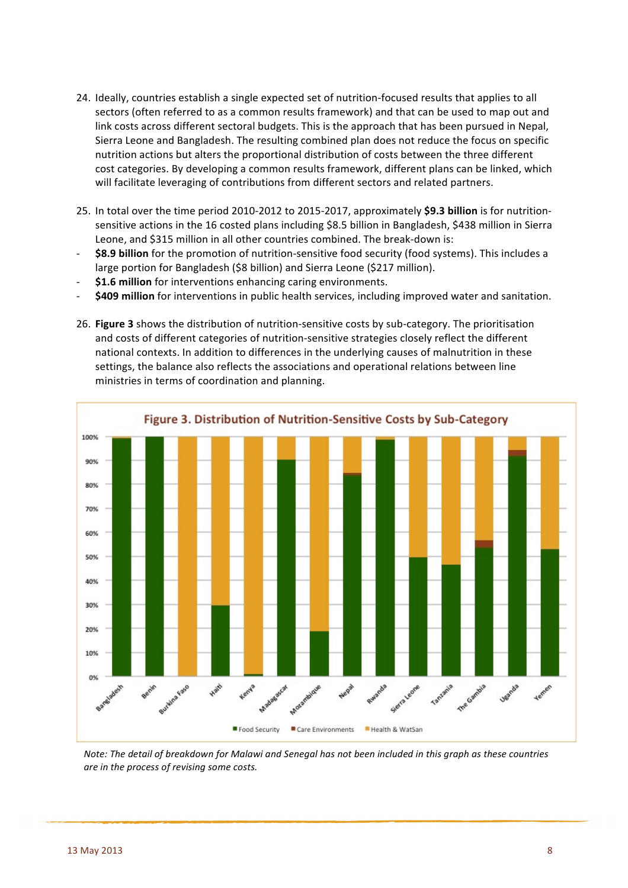- 24. Ideally, countries establish a single expected set of nutrition-focused results that applies to all sectors (often referred to as a common results framework) and that can be used to map out and link costs across different sectoral budgets. This is the approach that has been pursued in Nepal, Sierra Leone and Bangladesh. The resulting combined plan does not reduce the focus on specific nutrition actions but alters the proportional distribution of costs between the three different cost categories. By developing a common results framework, different plans can be linked, which will facilitate leveraging of contributions from different sectors and related partners.
- 25. In total over the time period 2010-2012 to 2015-2017, approximately \$9.3 billion is for nutritionsensitive actions in the 16 costed plans including \$8.5 billion in Bangladesh, \$438 million in Sierra Leone, and \$315 million in all other countries combined. The break-down is:
- \$8.9 **billion** for the promotion of nutrition-sensitive food security (food systems). This includes a large portion for Bangladesh (\$8 billion) and Sierra Leone (\$217 million).
- \$1.6 million for interventions enhancing caring environments.
- **\$409 million** for interventions in public health services, including improved water and sanitation.
- 26. Figure 3 shows the distribution of nutrition-sensitive costs by sub-category. The prioritisation and costs of different categories of nutrition-sensitive strategies closely reflect the different national contexts. In addition to differences in the underlying causes of malnutrition in these settings, the balance also reflects the associations and operational relations between line ministries in terms of coordination and planning.



*Note:* The detail of breakdown for Malawi and Senegal has not been included in this graph as these countries *are in the process of revising some costs.*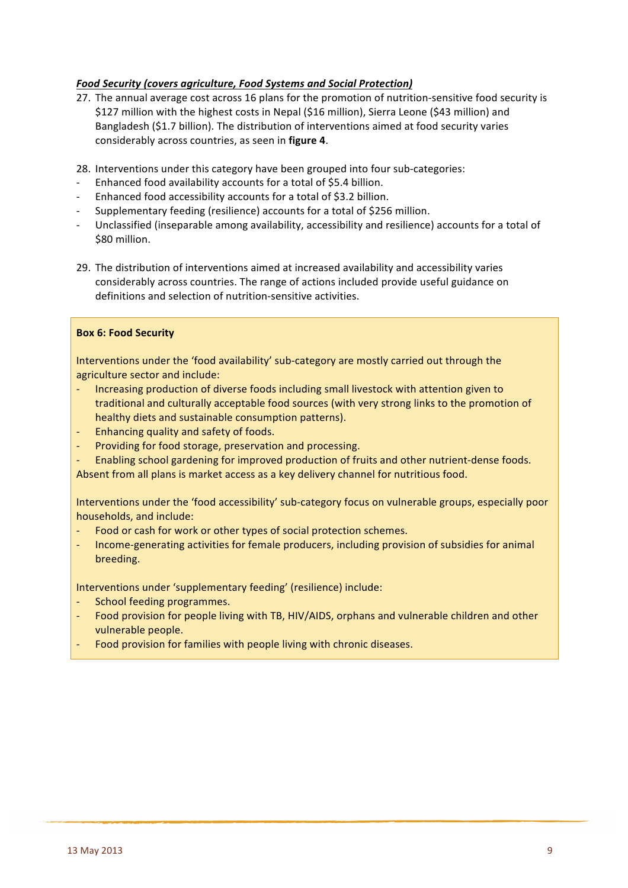## **Food Security (covers agriculture, Food Systems and Social Protection)**

- 27. The annual average cost across 16 plans for the promotion of nutrition-sensitive food security is \$127 million with the highest costs in Nepal (\$16 million), Sierra Leone (\$43 million) and Bangladesh (\$1.7 billion). The distribution of interventions aimed at food security varies considerably across countries, as seen in **figure 4**.
- 28. Interventions under this category have been grouped into four sub-categories:
- Enhanced food availability accounts for a total of \$5.4 billion.
- Enhanced food accessibility accounts for a total of \$3.2 billion.
- Supplementary feeding (resilience) accounts for a total of \$256 million.
- Unclassified (inseparable among availability, accessibility and resilience) accounts for a total of \$80 million.
- 29. The distribution of interventions aimed at increased availability and accessibility varies considerably across countries. The range of actions included provide useful guidance on definitions and selection of nutrition-sensitive activities.

#### **Box 6: Food Security**

Interventions under the 'food availability' sub-category are mostly carried out through the agriculture sector and include:

- Increasing production of diverse foods including small livestock with attention given to traditional and culturally acceptable food sources (with very strong links to the promotion of healthy diets and sustainable consumption patterns).
- Enhancing quality and safety of foods.
- Providing for food storage, preservation and processing.
- Enabling school gardening for improved production of fruits and other nutrient-dense foods. Absent from all plans is market access as a key delivery channel for nutritious food.

Interventions under the 'food accessibility' sub-category focus on vulnerable groups, especially poor households, and include:

- Food or cash for work or other types of social protection schemes.
- Income-generating activities for female producers, including provision of subsidies for animal breeding.

Interventions under 'supplementary feeding' (resilience) include:

- School feeding programmes.
- Food provision for people living with TB, HIV/AIDS, orphans and vulnerable children and other vulnerable people.
- Food provision for families with people living with chronic diseases.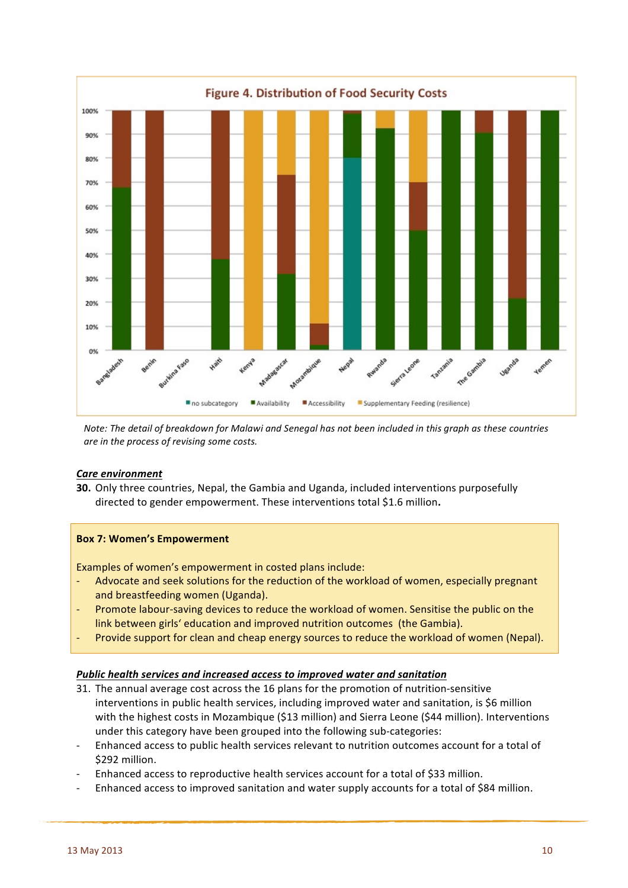

*Note: The detail of breakdown for Malawi and Senegal has not been included in this graph as these countries are in the process of revising some costs.* 

#### *Care environment*

**30.** Only three countries, Nepal, the Gambia and Uganda, included interventions purposefully directed to gender empowerment. These interventions total \$1.6 million.

#### **Box 7: Women's Empowerment**

Examples of women's empowerment in costed plans include:

- Advocate and seek solutions for the reduction of the workload of women, especially pregnant and breastfeeding women (Uganda).
- Promote labour-saving devices to reduce the workload of women. Sensitise the public on the link between girls' education and improved nutrition outcomes (the Gambia).
- Provide support for clean and cheap energy sources to reduce the workload of women (Nepal).

#### **Public health services and increased access to improved water and sanitation**

- 31. The annual average cost across the 16 plans for the promotion of nutrition-sensitive interventions in public health services, including improved water and sanitation, is \$6 million with the highest costs in Mozambique (\$13 million) and Sierra Leone (\$44 million). Interventions under this category have been grouped into the following sub-categories:
- Enhanced access to public health services relevant to nutrition outcomes account for a total of \$292 million.
- Enhanced access to reproductive health services account for a total of \$33 million.
- Enhanced access to improved sanitation and water supply accounts for a total of \$84 million.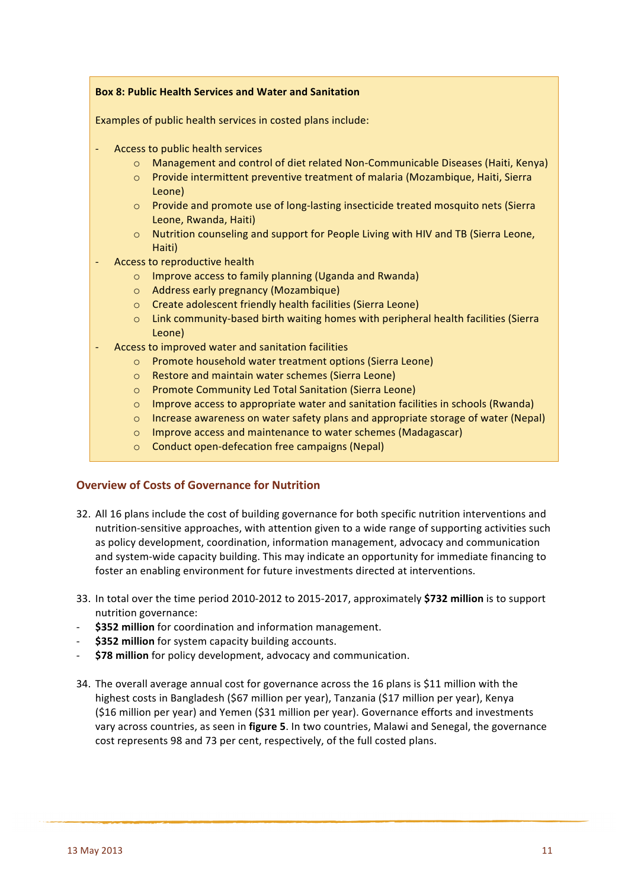## **Box 8: Public Health Services and Water and Sanitation**

Examples of public health services in costed plans include:

- Access to public health services
	- $\circ$  Management and control of diet related Non-Communicable Diseases (Haiti, Kenya)
	- $\circ$  Provide intermittent preventive treatment of malaria (Mozambique, Haiti, Sierra Leone)
	- $\circ$  Provide and promote use of long-lasting insecticide treated mosquito nets (Sierra Leone, Rwanda, Haiti)
	- $\circ$  Nutrition counseling and support for People Living with HIV and TB (Sierra Leone, Haiti)
- Access to reproductive health
	- $\circ$  Improve access to family planning (Uganda and Rwanda)
	- o Address early pregnancy (Mozambique)
	- o Create adolescent friendly health facilities (Sierra Leone)
	- $\circ$  Link community-based birth waiting homes with peripheral health facilities (Sierra Leone)
- Access to improved water and sanitation facilities
	- o Promote household water treatment options (Sierra Leone)
	- o Restore and maintain water schemes (Sierra Leone)
	- o Promote Community Led Total Sanitation (Sierra Leone)
	- $\circ$  Improve access to appropriate water and sanitation facilities in schools (Rwanda)
	- $\circ$  Increase awareness on water safety plans and appropriate storage of water (Nepal)
	- o Improve access and maintenance to water schemes (Madagascar)
	- $\circ$  Conduct open-defecation free campaigns (Nepal)

#### **Overview of Costs of Governance for Nutrition**

- 32. All 16 plans include the cost of building governance for both specific nutrition interventions and nutrition-sensitive approaches, with attention given to a wide range of supporting activities such as policy development, coordination, information management, advocacy and communication and system-wide capacity building. This may indicate an opportunity for immediate financing to foster an enabling environment for future investments directed at interventions.
- 33. In total over the time period 2010-2012 to 2015-2017, approximately \$732 million is to support nutrition governance:
- **\$352 million** for coordination and information management.
- **\$352 million** for system capacity building accounts.
- \$78 million for policy development, advocacy and communication.
- 34. The overall average annual cost for governance across the 16 plans is \$11 million with the highest costs in Bangladesh (\$67 million per year), Tanzania (\$17 million per year), Kenya (\$16 million per year) and Yemen (\$31 million per year). Governance efforts and investments vary across countries, as seen in figure 5. In two countries, Malawi and Senegal, the governance cost represents 98 and 73 per cent, respectively, of the full costed plans.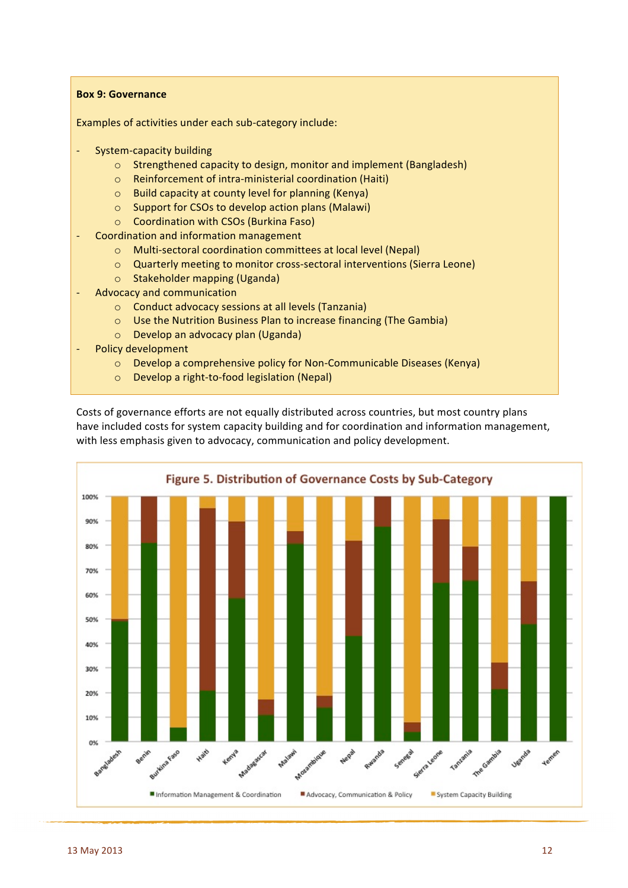#### **Box 9: Governance**

Examples of activities under each sub-category include:

- System-capacity building
	- $\circ$  Strengthened capacity to design, monitor and implement (Bangladesh)
	- $\circ$  Reinforcement of intra-ministerial coordination (Haiti)
	- $\circ$  Build capacity at county level for planning (Kenya)
	- $\circ$  Support for CSOs to develop action plans (Malawi)
	- o Coordination with CSOs (Burkina Faso)
- Coordination and information management
	- o Multi-sectoral coordination committees at local level (Nepal)
	- o Quarterly meeting to monitor cross-sectoral interventions (Sierra Leone)
	- $\circ$  Stakeholder mapping (Uganda)
- Advocacy and communication
	- $\circ$  Conduct advocacy sessions at all levels (Tanzania)
	- $\circ$  Use the Nutrition Business Plan to increase financing (The Gambia)
	- $\circ$  Develop an advocacy plan (Uganda)
- Policy development
	- $\circ$  Develop a comprehensive policy for Non-Communicable Diseases (Kenya)
	- $\circ$  Develop a right-to-food legislation (Nepal)

Costs of governance efforts are not equally distributed across countries, but most country plans have included costs for system capacity building and for coordination and information management, with less emphasis given to advocacy, communication and policy development.